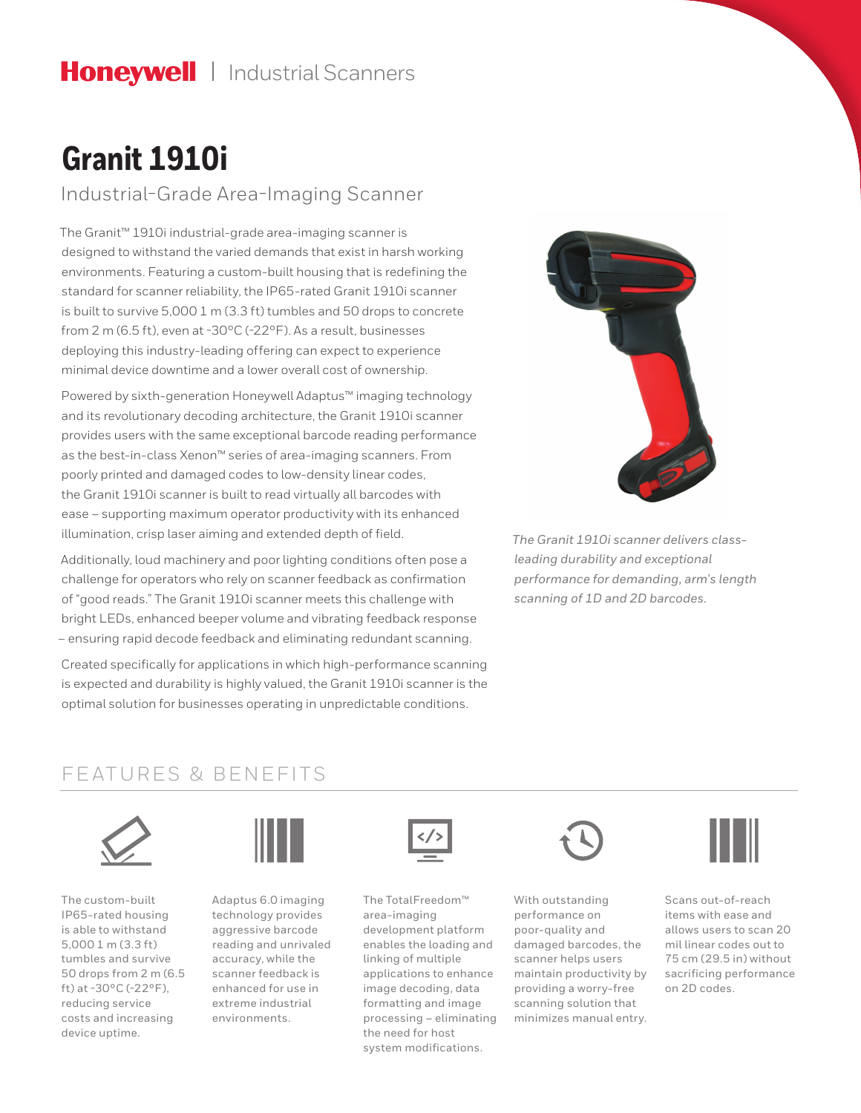# **Granit 1910i**

Industrial-Grade Area-Imaging Scanner

The Granit™ 1910i industrial-grade area-imaging scanner is designed to withstand the varied demands that exist in harsh working environments. Featuring a custom-built housing that is redefining the standard for scanner reliability, the IP65-rated Granit 1910i scanner is built to survive 5,000 1 m (3.3 ft) tumbles and 50 drops to concrete from 2 m (6.5 ft), even at -30°C (-22°F). As a result, businesses deploying this industry-leading offering can expect to experience minimal device downtime and a lower overall cost of ownership.

Powered by sixth-generation Honeywell Adaptus™ imaging technology and its revolutionary decoding architecture, the Granit 1910i scanner provides users with the same exceptional barcode reading performance as the best-in-class Xenon™ series of area-imaging scanners. From poorly printed and damaged codes to low-density linear codes, the Granit 1910i scanner is built to read virtually all barcodes with ease – supporting maximum operator productivity with its enhanced illumination, crisp laser aiming and extended depth of field.

Additionally, loud machinery and poor lighting conditions often pose a challenge for operators who rely on scanner feedback as confirmation of "good reads." The Granit 1910i scanner meets this challenge with bright LEDs, enhanced beeper volume and vibrating feedback response – ensuring rapid decode feedback and eliminating redundant scanning.

Created specifically for applications in which high-performance scanning is expected and durability is highly valued, the Granit 1910i scanner is the optimal solution for businesses operating in unpredictable conditions.



*The Granit 1910i scanner delivers classleading durability and exceptional performance for demanding, arm's length scanning of 1D and 2D barcodes.*

### FEATURES & BENEFITS



The custom-built IP65-rated housing is able to withstand 5,000 1 m (3.3 ft) tumbles and survive 50 drops from 2 m (6.5 ft) at -30 $^{\circ}$ C (-22 $^{\circ}$ F), reducing service costs and increasing device uptime.



Adaptus 6.0 imaging technology provides aggressive barcode reading and unrivaled accuracy, while the scanner feedback is enhanced for use in extreme industrial environments.



The TotalFreedom™ area-imaging development platform enables the loading and linking of multiple applications to enhance image decoding, data formatting and image processing – eliminating the need for host system modifications.



With outstanding performance on poor-quality and damaged barcodes, the scanner helps users maintain productivity by providing a worry-free scanning solution that minimizes manual entry.



Scans out-of-reach items with ease and allows users to scan 20 mil linear codes out to 75 cm (29.5 in) without sacrificing performance on 2D codes.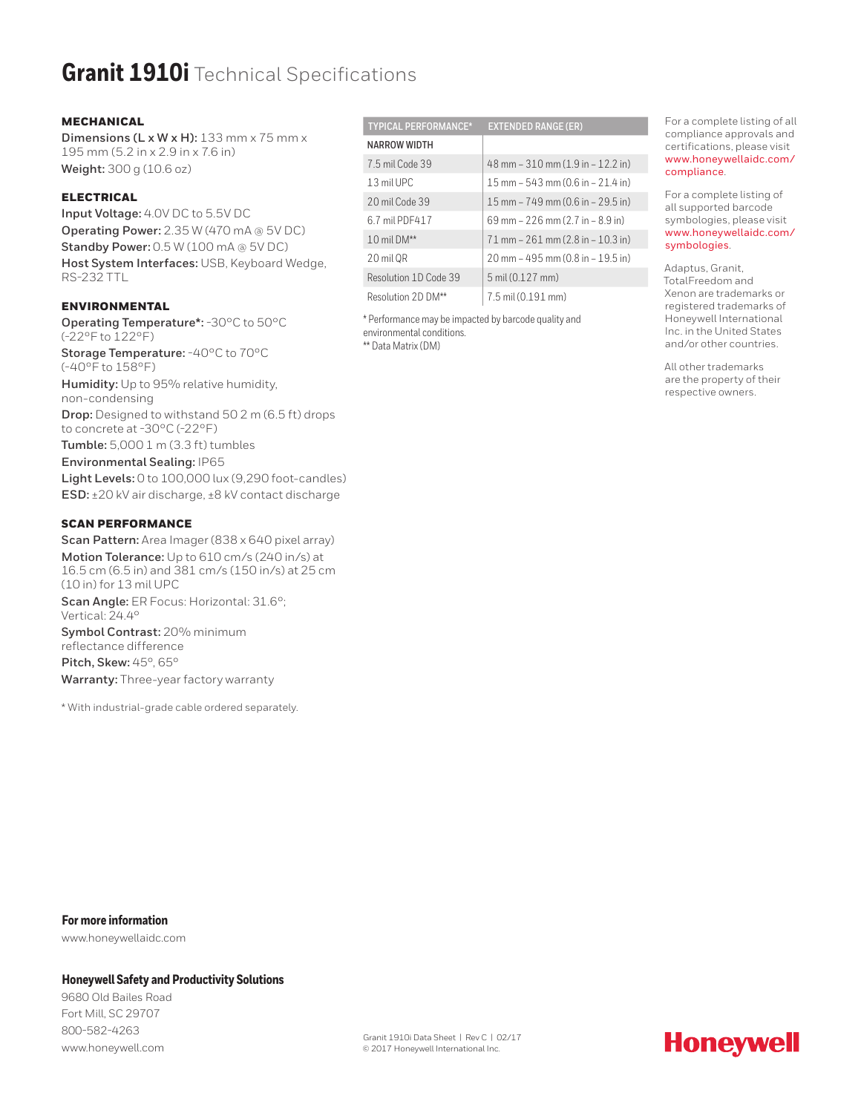## **Granit 1910i** Technical Specifications

### MECHANICAL

**Dimensions (L x W x H):** 133 mm x 75 mm x 195 mm (5.2 in x 2.9 in x 7.6 in) **Weight:** 300 g (10.6 oz)

### ELECTRICAL

**Input Voltage:** 4.0V DC to 5.5V DC **Operating Power:** 2.35 W (470 mA @ 5V DC) **Standby Power:** 0.5 W (100 mA @ 5V DC) **Host System Interfaces:** USB, Keyboard Wedge, RS-232 TTL

### **ENVIRONMENTAL**

**Operating Temperature\*:** -30°C to 50°C (-22°F to 122°F) **Storage Temperature:** -40°C to 70°C (-40°F to 158°F) **Humidity:** Up to 95% relative humidity, non-condensing **Drop:** Designed to withstand 50 2 m (6.5 ft) drops to concrete at -30°C (-22°F) **Tumble:** 5,000 1 m (3.3 ft) tumbles **Environmental Sealing:** IP65 **Light Levels:** 0 to 100,000 lux (9,290 foot-candles) **ESD:** ±20 kV air discharge, ±8 kV contact discharge

### SCAN PERFORMANCE

**Scan Pattern:** Area Imager (838 x 640 pixel array) **Motion Tolerance:** Up to 610 cm/s (240 in/s) at 16.5 cm (6.5 in) and 381 cm/s (150 in/s) at 25 cm (10 in) for 13 mil UPC **Scan Angle:** ER Focus: Horizontal: 31.6°; Vertical: 24.4° **Symbol Contrast:** 20% minimum

reflectance difference **Pitch, Skew:** 45°, 65° **Warranty:** Three-year factory warranty

\* With industrial-grade cable ordered separately.

| <b>TYPICAL PERFORMANCE*</b> | <b>EXTENDED RANGE (ER)</b>              |
|-----------------------------|-----------------------------------------|
| NARROW WIDTH                |                                         |
| 7.5 mil Code 39             | $48$ mm $-310$ mm $(1.9$ in $-12.2$ in) |
| 1.3 mil UPC                 | 15 mm $-543$ mm (0.6 in $-21.4$ in)     |
| 20 mil Code 39              | 15 mm $-749$ mm (0.6 in $-29.5$ in)     |
| 6.7 mil PDF417              | 69 mm $-226$ mm $(2.7$ in $-8.9$ in)    |
| 10 mil $DM**$               | $71$ mm $- 261$ mm (2.8 in $- 10.3$ in) |
| 20 mil OR                   | 20 mm - 495 mm (0.8 in - 19.5 in)       |
| Resolution 1D Code 39       | 5 mil (0.127 mm)                        |
| Resolution 2D DM**          | 7.5 mil (0.191 mm)                      |

\* Performance may be impacted by barcode quality and environmental conditions. \*\* Data Matrix (DM)

For a complete listing of all compliance approvals and certifications, please visit [www.honeywellaidc.com/](http://www.honeywellaidc.com/compliance) [compliance](http://www.honeywellaidc.com/compliance).

For a complete listing of all supported barcode symbologies, please visit [www.honeywellaidc.com/](http://www.honeywellaidc.com) [symbologies](http://www.honeywellaidc.com).

Adaptus, Granit, TotalFreedom and Xenon are trademarks or registered trademarks of Honeywell International Inc. in the United States and/or other countries.

All other trademarks are the property of their respective owners.

**For more information**

www.honeywellaidc.com

### **Honeywell Safety and Productivity Solutions**

9680 Old Bailes Road Fort Mill, SC 29707 800-582-4263 www.honeywell.com

Granit 1910i Data Sheet | Rev C | 02/17 © 2017 Honeywell International Inc.

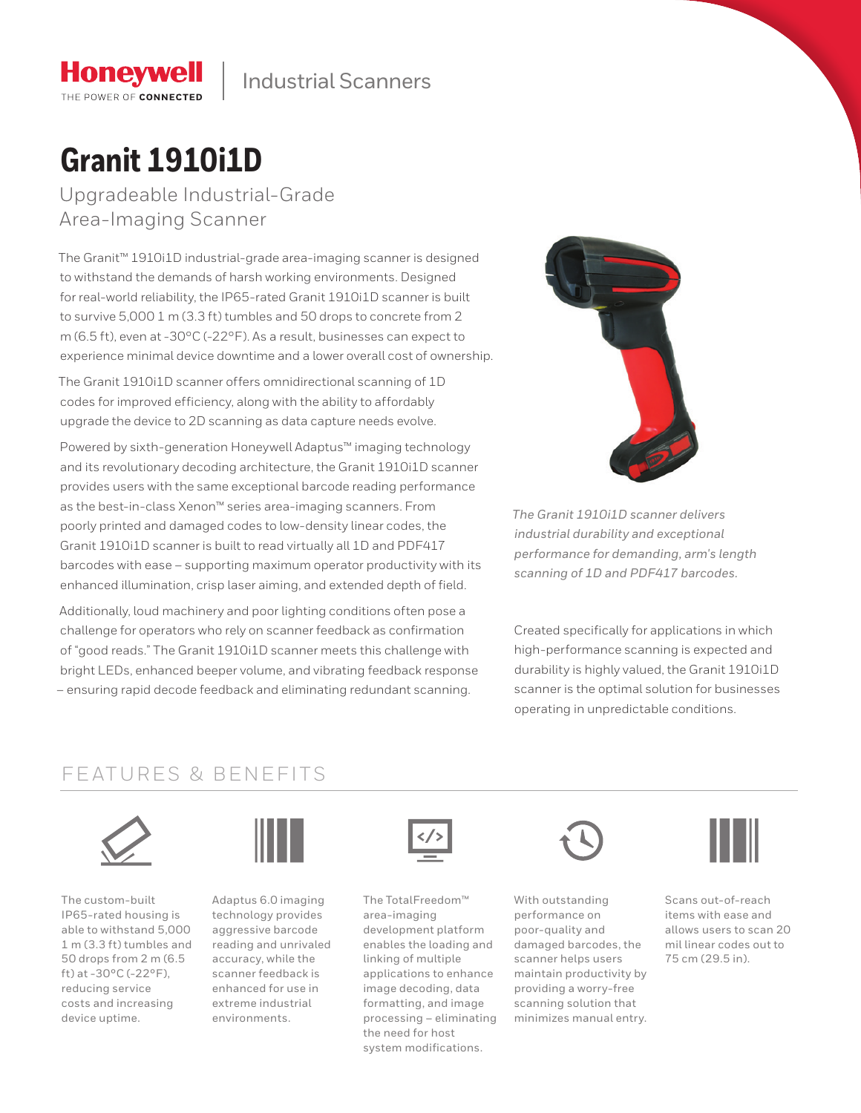# **Granit 1910i1D**

**Honeywell** THE POWER OF CONNECTED

Upgradeable Industrial-Grade Area-Imaging Scanner

The Granit™ 1910i1D industrial-grade area-imaging scanner is designed to withstand the demands of harsh working environments. Designed for real-world reliability, the IP65-rated Granit 1910i1D scanner is built to survive 5,000 1 m (3.3 ft) tumbles and 50 drops to concrete from 2 m (6.5 ft), even at -30°C (-22°F). As a result, businesses can expect to experience minimal device downtime and a lower overall cost of ownership.

The Granit 1910i1D scanner offers omnidirectional scanning of 1D codes for improved efficiency, along with the ability to affordably upgrade the device to 2D scanning as data capture needs evolve.

Powered by sixth-generation Honeywell Adaptus™ imaging technology and its revolutionary decoding architecture, the Granit 1910i1D scanner provides users with the same exceptional barcode reading performance as the best-in-class Xenon™ series area-imaging scanners. From poorly printed and damaged codes to low-density linear codes, the Granit 1910i1D scanner is built to read virtually all 1D and PDF417 barcodes with ease – supporting maximum operator productivity with its enhanced illumination, crisp laser aiming, and extended depth of field.

Additionally, loud machinery and poor lighting conditions often pose a challenge for operators who rely on scanner feedback as confirmation of "good reads." The Granit 1910i1D scanner meets this challenge with bright LEDs, enhanced beeper volume, and vibrating feedback response – ensuring rapid decode feedback and eliminating redundant scanning.



*The Granit 1910i1D scanner delivers industrial durability and exceptional performance for demanding, arm's length scanning of 1D and PDF417 barcodes.*

Created specifically for applications in which high-performance scanning is expected and durability is highly valued, the Granit 1910i1D scanner is the optimal solution for businesses operating in unpredictable conditions.

### FEATURES & BENEFITS



The custom-built IP65-rated housing is able to withstand 5,000 1 m (3.3 ft) tumbles and 50 drops from 2 m (6.5 ft) at -30 $^{\circ}$ C (-22 $^{\circ}$ F), reducing service costs and increasing device uptime.



Adaptus 6.0 imaging technology provides aggressive barcode reading and unrivaled accuracy, while the scanner feedback is enhanced for use in extreme industrial environments.



The TotalFreedom™ area-imaging development platform enables the loading and linking of multiple applications to enhance image decoding, data formatting, and image processing – eliminating the need for host system modifications.



With outstanding performance on poor-quality and damaged barcodes, the scanner helps users maintain productivity by providing a worry-free scanning solution that minimizes manual entry.



Scans out-of-reach items with ease and allows users to scan 20 mil linear codes out to 75 cm (29.5 in).